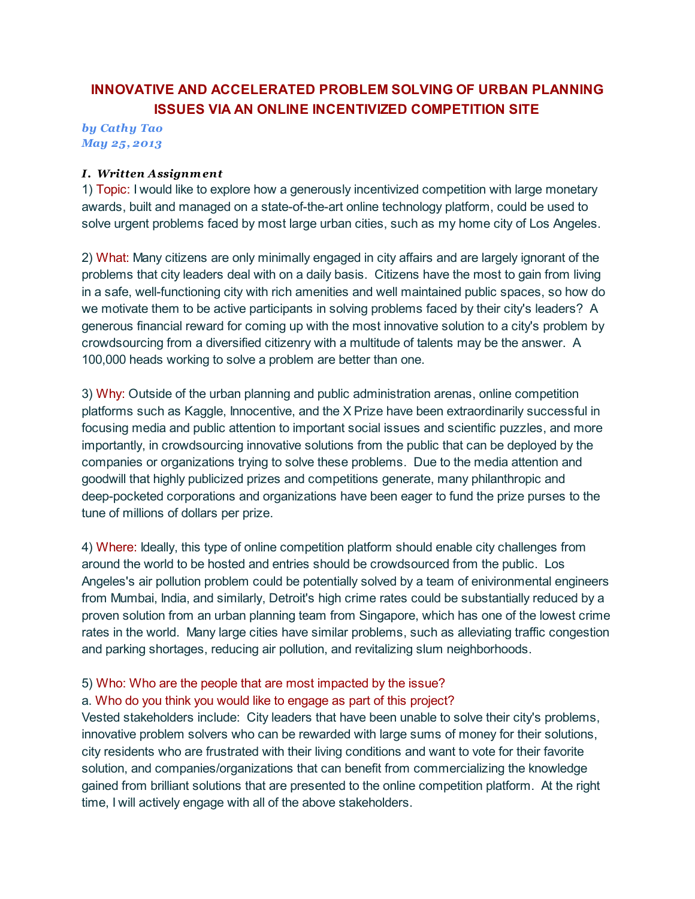# INNOVATIVE AND ACCELERATED PROBLEM SOLVING OF URBAN PLANNING ISSUES VIA AN ONLINE INCENTIVIZED COMPETITION SITE

*by Cathy Tao May 25, 2013*

#### *I. Written Assignment*

1) Topic: I would like to explore how a generously incentivized competition with large monetary awards, built and managed on a state-of-the-art online technology platform, could be used to solve urgent problems faced by most large urban cities, such as my home city of Los Angeles.

2) What: Many citizens are only minimally engaged in city affairs and are largely ignorant of the problems that city leaders deal with on a daily basis. Citizens have the most to gain from living in a safe, well-functioning city with rich amenities and well maintained public spaces, so how do we motivate them to be active participants in solving problems faced by their city's leaders? A generous financial reward for coming up with the most innovative solution to a city's problem by crowdsourcing from a diversified citizenry with a multitude of talents may be the answer. A 100,000 heads working to solve a problem are better than one.

3) Why: Outside of the urban planning and public administration arenas, online competition platforms such as Kaggle, Innocentive, and the X Prize have been extraordinarily successful in focusing media and public attention to important social issues and scientific puzzles, and more importantly, in crowdsourcing innovative solutions from the public that can be deployed by the companies or organizations trying to solve these problems. Due to the media attention and goodwill that highly publicized prizes and competitions generate, many philanthropic and deep-pocketed corporations and organizations have been eager to fund the prize purses to the tune of millions of dollars per prize.

4) Where: Ideally, this type of online competition platform should enable city challenges from around the world to be hosted and entries should be crowdsourced from the public. Los Angeles's air pollution problem could be potentially solved by a team of enivironmental engineers from Mumbai, India, and similarly, Detroit's high crime rates could be substantially reduced by a proven solution from an urban planning team from Singapore, which has one of the lowest crime rates in the world. Many large cities have similar problems, such as alleviating traffic congestion and parking shortages, reducing air pollution, and revitalizing slum neighborhoods.

## 5) Who: Who are the people that are most impacted by the issue?

## a. Who do you think you would like to engage as part of this project?

Vested stakeholders include: City leaders that have been unable to solve their city's problems, innovative problem solvers who can be rewarded with large sums of money for their solutions, city residents who are frustrated with their living conditions and want to vote for their favorite solution, and companies/organizations that can benefit from commercializing the knowledge gained from brilliant solutions that are presented to the online competition platform. At the right time, I will actively engage with all of the above stakeholders.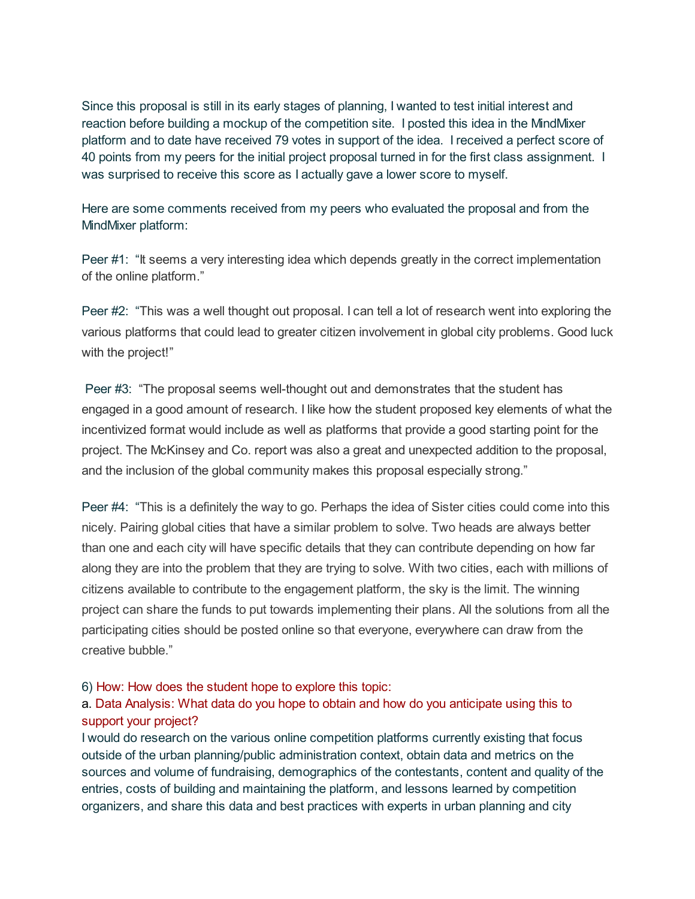Since this proposal is still in its early stages of planning, I wanted to test initial interest and reaction before building a mockup of the competition site. I posted this idea in the MindMixer platform and to date have received 79 votes in support of the idea. I received a perfect score of 40 points from my peers for the initial project proposal turned in for the first class assignment. I was surprised to receive this score as I actually gave a lower score to myself.

Here are some comments received from my peers who evaluated the proposal and from the MindMixer platform:

Peer #1: "It seems a very interesting idea which depends greatly in the correct implementation of the online platform."

Peer #2: "This was a well thought out proposal. I can tell a lot of research went into exploring the various platforms that could lead to greater citizen involvement in global city problems. Good luck with the project!"

Peer #3: "The proposal seems well-thought out and demonstrates that the student has engaged in a good amount of research. I like how the student proposed key elements of what the incentivized format would include as well as platforms that provide a good starting point for the project. The McKinsey and Co. report was also a great and unexpected addition to the proposal, and the inclusion of the global community makes this proposal especially strong."

Peer #4: "This is a definitely the way to go. Perhaps the idea of Sister cities could come into this nicely. Pairing global cities that have a similar problem to solve. Two heads are always better than one and each city will have specific details that they can contribute depending on how far along they are into the problem that they are trying to solve. With two cities, each with millions of citizens available to contribute to the engagement platform, the sky is the limit. The winning project can share the funds to put towards implementing their plans. All the solutions from all the participating cities should be posted online so that everyone, everywhere can draw from the creative bubble."

#### 6) How: How does the student hope to explore this topic:

# a. Data Analysis: What data do you hope to obtain and how do you anticipate using this to support your project?

I would do research on the various online competition platforms currently existing that focus outside of the urban planning/public administration context, obtain data and metrics on the sources and volume of fundraising, demographics of the contestants, content and quality of the entries, costs of building and maintaining the platform, and lessons learned by competition organizers, and share this data and best practices with experts in urban planning and city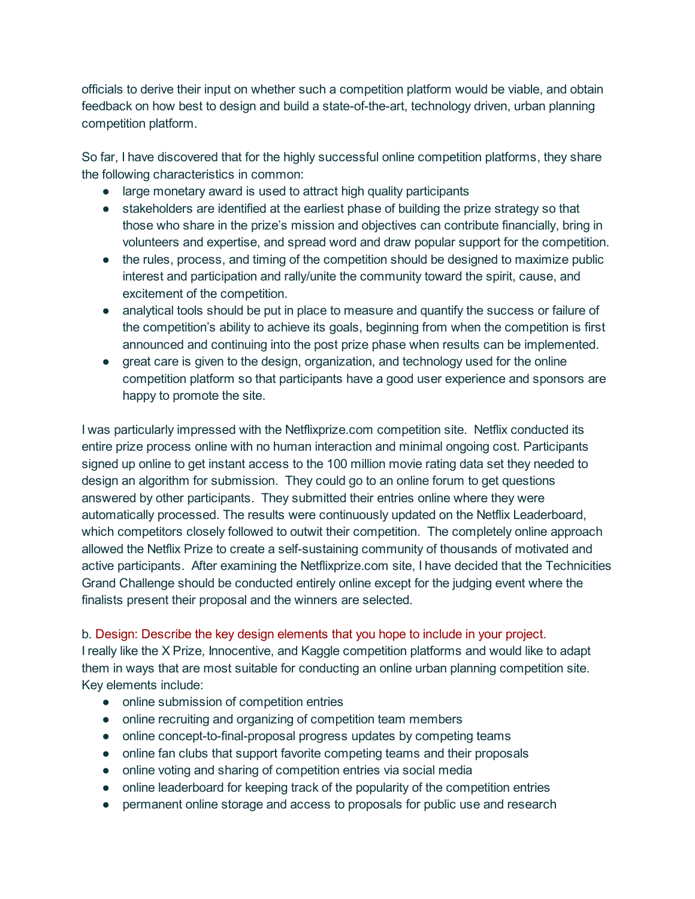officials to derive their input on whether such a competition platform would be viable, and obtain feedback on how best to design and build a state-of-the-art, technology driven, urban planning competition platform.

So far, I have discovered that for the highly successful online competition platforms, they share the following characteristics in common:

- large monetary award is used to attract high quality participants
- stakeholders are identified at the earliest phase of building the prize strategy so that those who share in the prize's mission and objectives can contribute financially, bring in volunteers and expertise, and spread word and draw popular support for the competition.
- the rules, process, and timing of the competition should be designed to maximize public interest and participation and rally/unite the community toward the spirit, cause, and excitement of the competition.
- analytical tools should be put in place to measure and quantify the success or failure of the competition's ability to achieve its goals, beginning from when the competition is first announced and continuing into the post prize phase when results can be implemented.
- great care is given to the design, organization, and technology used for the online competition platform so that participants have a good user experience and sponsors are happy to promote the site.

I was particularly impressed with the Netflixprize.com competition site. Netflix conducted its entire prize process online with no human interaction and minimal ongoing cost. Participants signed up online to get instant access to the 100 million movie rating data set they needed to design an algorithm for submission. They could go to an online forum to get questions answered by other participants. They submitted their entries online where they were automatically processed. The results were continuously updated on the Netflix Leaderboard, which competitors closely followed to outwit their competition. The completely online approach allowed the Netflix Prize to create a self-sustaining community of thousands of motivated and active participants. After examining the Netflixprize.com site, I have decided that the Technicities Grand Challenge should be conducted entirely online except for the judging event where the finalists present their proposal and the winners are selected.

## b. Design: Describe the key design elements that you hope to include in your project.

I really like the X Prize, Innocentive, and Kaggle competition platforms and would like to adapt them in ways that are most suitable for conducting an online urban planning competition site. Key elements include:

- online submission of competition entries
- online recruiting and organizing of competition team members
- online concept-to-final-proposal progress updates by competing teams
- online fan clubs that support favorite competing teams and their proposals
- online voting and sharing of competition entries via social media
- online leaderboard for keeping track of the popularity of the competition entries
- permanent online storage and access to proposals for public use and research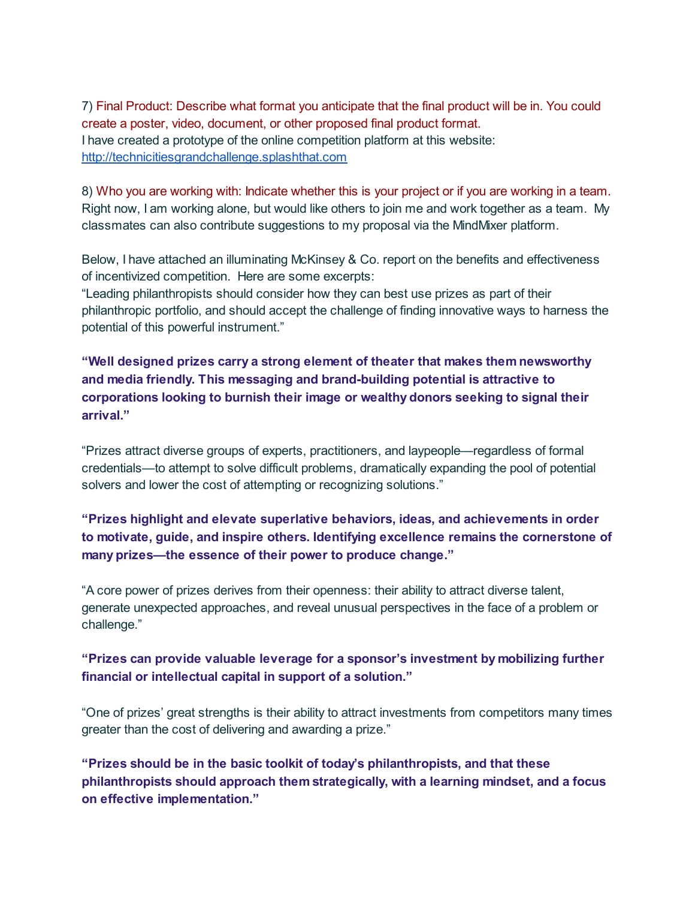7) Final Product: Describe what format you anticipate that the final product will be in. You could create a poster, video, document, or other proposed final product format. I have created a prototype of the online competition platform at this website: [http://technicitiesgrandchallenge.splashthat.com](http://www.google.com/url?q=http%3A%2F%2Ftechnicitiesgrandchallenge.splashthat.com&sa=D&sntz=1&usg=AFQjCNHdIRD6YQKRGH9sPOZmnHrC-6fHog)

8) Who you are working with: Indicate whether this is your project or if you are working in a team. Right now, I am working alone, but would like others to join me and work together as a team. My classmates can also contribute suggestions to my proposal via the MindMixer platform.

Below, I have attached an illuminating McKinsey & Co. report on the benefits and effectiveness of incentivized competition. Here are some excerpts:

"Leading philanthropists should consider how they can best use prizes as part of their philanthropic portfolio, and should accept the challenge of finding innovative ways to harness the potential of this powerful instrument."

"Well designed prizes carry a strong element of theater that makes them newsworthy and media friendly. This messaging and brand-building potential is attractive to corporations looking to burnish their image or wealthy donors seeking to signal their arrival."

"Prizes attract diverse groups of experts, practitioners, and laypeople—regardless of formal credentials—to attempt to solve difficult problems, dramatically expanding the pool of potential solvers and lower the cost of attempting or recognizing solutions."

"Prizes highlight and elevate superlative behaviors, ideas, and achievements in order to motivate, guide, and inspire others. Identifying excellence remains the cornerstone of many prizes—the essence of their power to produce change."

"A core power of prizes derives from their openness: their ability to attract diverse talent, generate unexpected approaches, and reveal unusual perspectives in the face of a problem or challenge."

# "Prizes can provide valuable leverage for a sponsor's investment by mobilizing further financial or intellectual capital in support of a solution."

"One of prizes' great strengths is their ability to attract investments from competitors many times greater than the cost of delivering and awarding a prize."

"Prizes should be in the basic toolkit of today's philanthropists, and that these philanthropists should approach them strategically, with a learning mindset, and a focus on effective implementation."